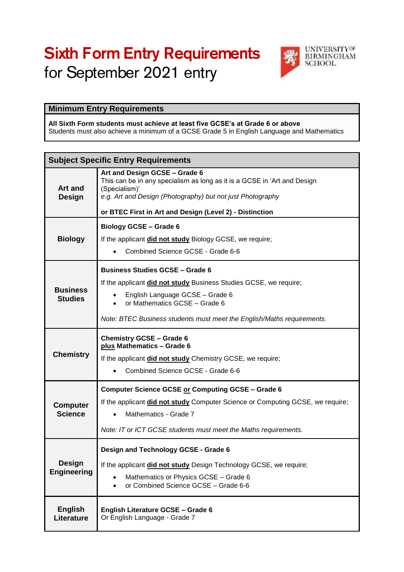# Sixth Form Entry Requirements for September 2021 entry



## **Minimum Entry Requirements**

#### **All Sixth Form students must achieve at least five GCSE's at Grade 6 or above** Students must also achieve a minimum of a GCSE Grade 5 in English Language and Mathematics

| <b>Subject Specific Entry Requirements</b> |                                                                                                                                                                                                                                                                                     |  |
|--------------------------------------------|-------------------------------------------------------------------------------------------------------------------------------------------------------------------------------------------------------------------------------------------------------------------------------------|--|
| Art and<br><b>Design</b>                   | Art and Design GCSE - Grade 6<br>This can be in any specialism as long as it is a GCSE in 'Art and Design<br>(Specialism)'<br>e.g. Art and Design (Photography) but not just Photography<br>or BTEC First in Art and Design (Level 2) - Distinction                                 |  |
|                                            |                                                                                                                                                                                                                                                                                     |  |
| <b>Biology</b>                             | <b>Biology GCSE - Grade 6</b><br>If the applicant did not study Biology GCSE, we require;<br>Combined Science GCSE - Grade 6-6                                                                                                                                                      |  |
| <b>Business</b><br><b>Studies</b>          | <b>Business Studies GCSE - Grade 6</b><br>If the applicant did not study Business Studies GCSE, we require;<br>English Language GCSE - Grade 6<br>$\bullet$<br>or Mathematics GCSE - Grade 6<br>$\bullet$<br>Note: BTEC Business students must meet the English/Maths requirements. |  |
| <b>Chemistry</b>                           | <b>Chemistry GCSE - Grade 6</b><br>plus Mathematics - Grade 6<br>If the applicant did not study Chemistry GCSE, we require;<br>Combined Science GCSE - Grade 6-6                                                                                                                    |  |
| <b>Computer</b><br><b>Science</b>          | <b>Computer Science GCSE or Computing GCSE - Grade 6</b><br>If the applicant <b>did not study</b> Computer Science or Computing GCSE, we require;<br>Mathematics - Grade 7<br>$\bullet$<br>Note: IT or ICT GCSE students must meet the Maths requirements.                          |  |
| <b>Design</b><br><b>Engineering</b>        | Design and Technology GCSE - Grade 6<br>If the applicant did not study Design Technology GCSE, we require;<br>Mathematics or Physics GCSE - Grade 6<br>$\bullet$<br>or Combined Science GCSE - Grade 6-6<br>$\bullet$                                                               |  |
| <b>English</b><br><b>Literature</b>        | <b>English Literature GCSE - Grade 6</b><br>Or English Language - Grade 7                                                                                                                                                                                                           |  |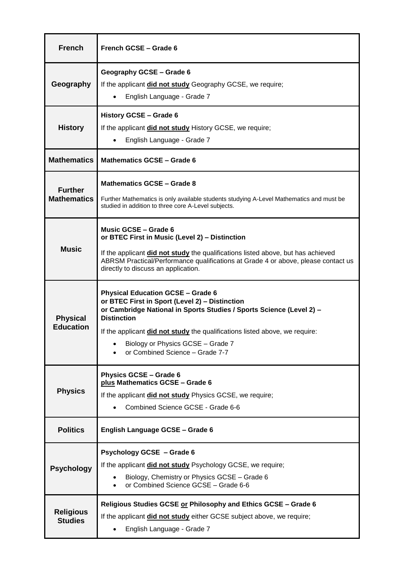| <b>French</b>                        | French GCSE - Grade 6                                                                                                                                                                                                                                                                                                                           |
|--------------------------------------|-------------------------------------------------------------------------------------------------------------------------------------------------------------------------------------------------------------------------------------------------------------------------------------------------------------------------------------------------|
| Geography                            | Geography GCSE - Grade 6<br>If the applicant did not study Geography GCSE, we require;<br>English Language - Grade 7                                                                                                                                                                                                                            |
| <b>History</b>                       | History GCSE - Grade 6<br>If the applicant <b>did not study</b> History GCSE, we require;<br>English Language - Grade 7                                                                                                                                                                                                                         |
| <b>Mathematics</b>                   | Mathematics GCSE - Grade 6                                                                                                                                                                                                                                                                                                                      |
| <b>Further</b><br><b>Mathematics</b> | Mathematics GCSE - Grade 8<br>Further Mathematics is only available students studying A-Level Mathematics and must be<br>studied in addition to three core A-Level subjects.                                                                                                                                                                    |
| <b>Music</b>                         | <b>Music GCSE - Grade 6</b><br>or BTEC First in Music (Level 2) - Distinction<br>If the applicant did not study the qualifications listed above, but has achieved<br>ABRSM Practical/Performance qualifications at Grade 4 or above, please contact us<br>directly to discuss an application.                                                   |
| <b>Physical</b><br><b>Education</b>  | <b>Physical Education GCSE - Grade 6</b><br>or BTEC First in Sport (Level 2) - Distinction<br>or Cambridge National in Sports Studies / Sports Science (Level 2) -<br><b>Distinction</b><br>If the applicant did not study the qualifications listed above, we require:<br>Biology or Physics GCSE - Grade 7<br>or Combined Science - Grade 7-7 |
| <b>Physics</b>                       | <b>Physics GCSE - Grade 6</b><br>plus Mathematics GCSE - Grade 6<br>If the applicant did not study Physics GCSE, we require;<br>Combined Science GCSE - Grade 6-6<br>$\bullet$                                                                                                                                                                  |
| <b>Politics</b>                      | English Language GCSE - Grade 6                                                                                                                                                                                                                                                                                                                 |
| <b>Psychology</b>                    | <b>Psychology GCSE - Grade 6</b><br>If the applicant did not study Psychology GCSE, we require;<br>Biology, Chemistry or Physics GCSE - Grade 6<br>or Combined Science GCSE - Grade 6-6                                                                                                                                                         |
| <b>Religious</b><br><b>Studies</b>   | Religious Studies GCSE or Philosophy and Ethics GCSE - Grade 6<br>If the applicant did not study either GCSE subject above, we require;<br>English Language - Grade 7<br>$\bullet$                                                                                                                                                              |